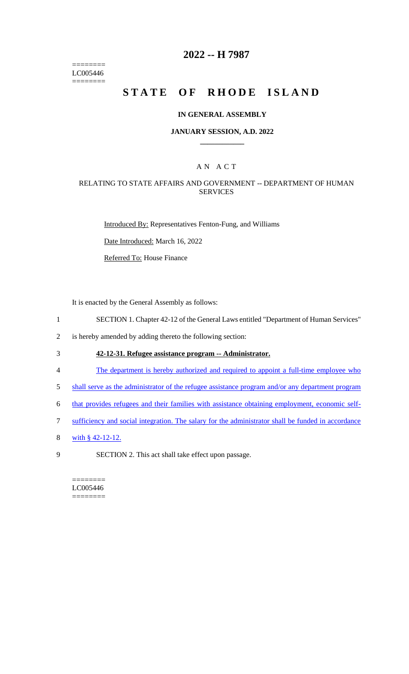======== LC005446 ========

# **2022 -- H 7987**

# **STATE OF RHODE ISLAND**

#### **IN GENERAL ASSEMBLY**

#### **JANUARY SESSION, A.D. 2022 \_\_\_\_\_\_\_\_\_\_\_\_**

## A N A C T

## RELATING TO STATE AFFAIRS AND GOVERNMENT -- DEPARTMENT OF HUMAN SERVICES

Introduced By: Representatives Fenton-Fung, and Williams

Date Introduced: March 16, 2022

Referred To: House Finance

It is enacted by the General Assembly as follows:

- 1 SECTION 1. Chapter 42-12 of the General Laws entitled "Department of Human Services"
- 2 is hereby amended by adding thereto the following section:
- 3 **42-12-31. Refugee assistance program -- Administrator.**
- 4 The department is hereby authorized and required to appoint a full-time employee who
- 5 shall serve as the administrator of the refugee assistance program and/or any department program
- 6 that provides refugees and their families with assistance obtaining employment, economic self-
- 7 sufficiency and social integration. The salary for the administrator shall be funded in accordance
- 8 with § 42-12-12.
- 9 SECTION 2. This act shall take effect upon passage.

======== LC005446 ========